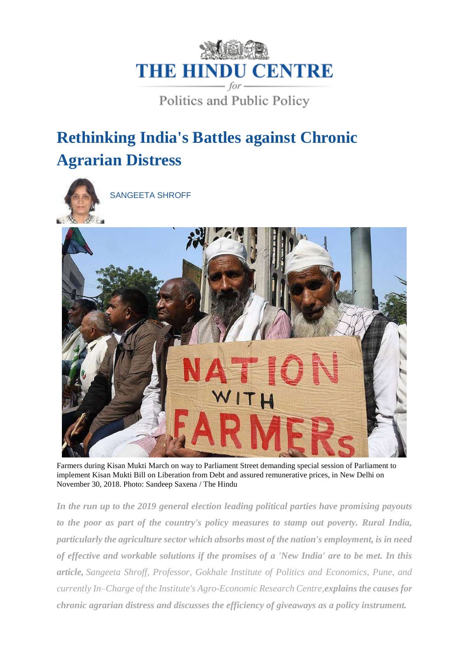

Politics and Public Policy

# **Rethinking India's Battles against Chronic Agrarian Distress**



[SANGEETA SHROFF](https://www.thehinducentre.com/profile/author/Sangeeta-Shroff-56034/)



Farmers during Kisan Mukti March on way to Parliament Street demanding special session of Parliament to implement Kisan Mukti Bill on Liberation from Debt and assured remunerative prices, in New Delhi on November 30, 2018. Photo: Sandeep Saxena / The Hindu

*In the run up to the 2019 general election leading political parties have promising payouts to the poor as part of the country's policy measures to stamp out poverty. Rural India, particularly the agriculture sector which absorbs most of the nation's employment, is in need of effective and workable solutions if the promises of a 'New India' are to be met. In this article, Sangeeta Shroff, Professor, Gokhale Institute of Politics and Economics, Pune, and currently In–Charge of the Institute's Agro-Economic Research Centre,explains the causes for chronic agrarian distress and discusses the efficiency of giveaways as a policy instrument.*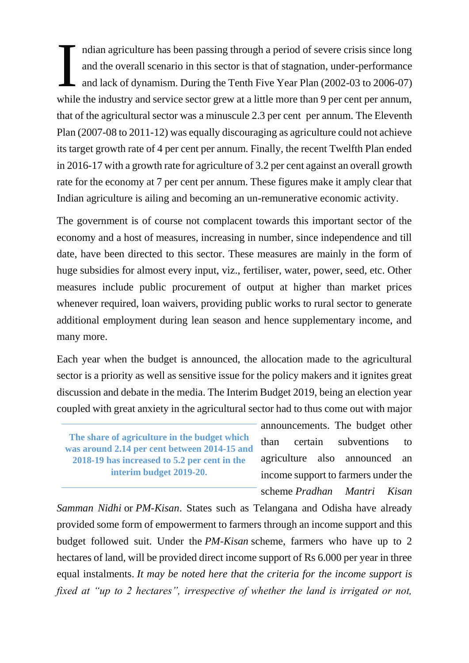ndian agriculture has been passing through a period of severe crisis since long and the overall scenario in this sector is that of stagnation, under-performance and lack of dynamism. During the Tenth Five Year Plan (2002-03 to 2006-07) while the industry and service sector grew at a little more than 9 per cent per annum, that of the agricultural sector was a minuscule 2.3 per cent per annum. The Eleventh Plan (2007-08 to 2011-12) was equally discouraging as agriculture could not achieve its target growth rate of 4 per cent per annum. Finally, the recent Twelfth Plan ended in 2016-17 with a growth rate for agriculture of 3.2 per cent against an overall growth rate for the economy at 7 per cent per annum. These figures make it amply clear that Indian agriculture is ailing and becoming an un-remunerative economic activity. I

The government is of course not complacent towards this important sector of the economy and a host of measures, increasing in number, since independence and till date, have been directed to this sector. These measures are mainly in the form of huge subsidies for almost every input, viz., fertiliser, water, power, seed, etc. Other measures include public procurement of output at higher than market prices whenever required, loan waivers, providing public works to rural sector to generate additional employment during lean season and hence supplementary income, and many more.

Each year when the budget is announced, the allocation made to the agricultural sector is a priority as well as sensitive issue for the policy makers and it ignites great discussion and debate in the media. The Interim Budget 2019, being an election year coupled with great anxiety in the agricultural sector had to thus come out with major

**The share of agriculture in the budget which was around 2.14 per cent between 2014-15 and 2018-19 has increased to 5.2 per cent in the interim budget 2019-20.**

announcements. The budget other than certain subventions to agriculture also announced an income support to farmers under the scheme *Pradhan Mantri Kisan* 

*Samman Nidhi* or *PM-Kisan*. States such as Telangana and Odisha have already provided some form of empowerment to farmers through an income support and this budget followed suit. Under the *PM-Kisan* scheme, farmers who have up to 2 hectares of land, will be provided direct income support of Rs 6.000 per year in three equal instalments. *It may be noted here that the criteria for the income support is fixed at "up to 2 hectares", irrespective of whether the land is irrigated or not,*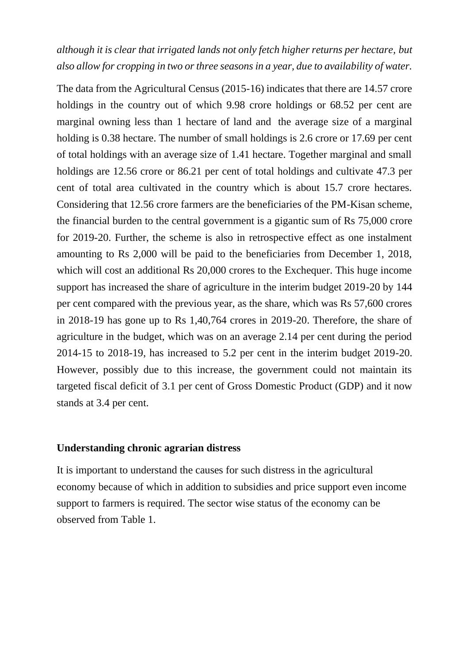# *although it is clear that irrigated lands not only fetch higher returns per hectare, but also allow for cropping in two or three seasons in a year, due to availability of water.*

The data from the Agricultural Census (2015-16) indicates that there are 14.57 crore holdings in the country out of which 9.98 crore holdings or 68.52 per cent are marginal owning less than 1 hectare of land and the average size of a marginal holding is 0.38 hectare. The number of small holdings is 2.6 crore or 17.69 per cent of total holdings with an average size of 1.41 hectare. Together marginal and small holdings are 12.56 crore or 86.21 per cent of total holdings and cultivate 47.3 per cent of total area cultivated in the country which is about 15.7 crore hectares. Considering that 12.56 crore farmers are the beneficiaries of the PM-Kisan scheme, the financial burden to the central government is a gigantic sum of Rs 75,000 crore for 2019-20. Further, the scheme is also in retrospective effect as one instalment amounting to Rs 2,000 will be paid to the beneficiaries from December 1, 2018, which will cost an additional Rs 20,000 crores to the Exchequer. This huge income support has increased the share of agriculture in the interim budget 2019-20 by 144 per cent compared with the previous year, as the share, which was Rs 57,600 crores in 2018-19 has gone up to Rs 1,40,764 crores in 2019-20. Therefore, the share of agriculture in the budget, which was on an average 2.14 per cent during the period 2014-15 to 2018-19, has increased to 5.2 per cent in the interim budget 2019-20. However, possibly due to this increase, the government could not maintain its targeted fiscal deficit of 3.1 per cent of Gross Domestic Product (GDP) and it now stands at 3.4 per cent.

#### **Understanding chronic agrarian distress**

It is important to understand the causes for such distress in the agricultural economy because of which in addition to subsidies and price support even income support to farmers is required. The sector wise status of the economy can be observed from Table 1.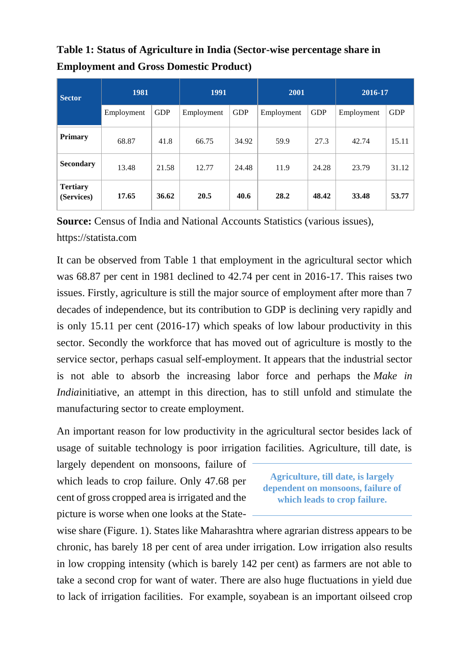**Table 1: Status of Agriculture in India (Sector-wise percentage share in Employment and Gross Domestic Product)**

| <b>Sector</b>                 | 1981       |            | 1991       |            | 2001       |            | 2016-17    |            |
|-------------------------------|------------|------------|------------|------------|------------|------------|------------|------------|
|                               | Employment | <b>GDP</b> | Employment | <b>GDP</b> | Employment | <b>GDP</b> | Employment | <b>GDP</b> |
| Primary                       | 68.87      | 41.8       | 66.75      | 34.92      | 59.9       | 27.3       | 42.74      | 15.11      |
| <b>Secondary</b>              | 13.48      | 21.58      | 12.77      | 24.48      | 11.9       | 24.28      | 23.79      | 31.12      |
| <b>Tertiary</b><br>(Services) | 17.65      | 36.62      | 20.5       | 40.6       | 28.2       | 48.42      | 33.48      | 53.77      |

**Source:** Census of India and National Accounts Statistics (various issues), https://statista.com

It can be observed from Table 1 that employment in the agricultural sector which was 68.87 per cent in 1981 declined to 42.74 per cent in 2016-17. This raises two issues. Firstly, agriculture is still the major source of employment after more than 7 decades of independence, but its contribution to GDP is declining very rapidly and is only 15.11 per cent (2016-17) which speaks of low labour productivity in this sector. Secondly the workforce that has moved out of agriculture is mostly to the service sector, perhaps casual self-employment. It appears that the industrial sector is not able to absorb the increasing labor force and perhaps the *Make in India*initiative, an attempt in this direction, has to still unfold and stimulate the manufacturing sector to create employment.

An important reason for low productivity in the agricultural sector besides lack of usage of suitable technology is poor irrigation facilities. Agriculture, till date, is

largely dependent on monsoons, failure of which leads to crop failure. Only 47.68 per cent of gross cropped area is irrigated and the picture is worse when one looks at the State-

**Agriculture, till date, is largely dependent on monsoons, failure of which leads to crop failure.**

wise share (Figure. 1). States like Maharashtra where agrarian distress appears to be chronic, has barely 18 per cent of area under irrigation. Low irrigation also results in low cropping intensity (which is barely 142 per cent) as farmers are not able to take a second crop for want of water. There are also huge fluctuations in yield due to lack of irrigation facilities. For example, soyabean is an important oilseed crop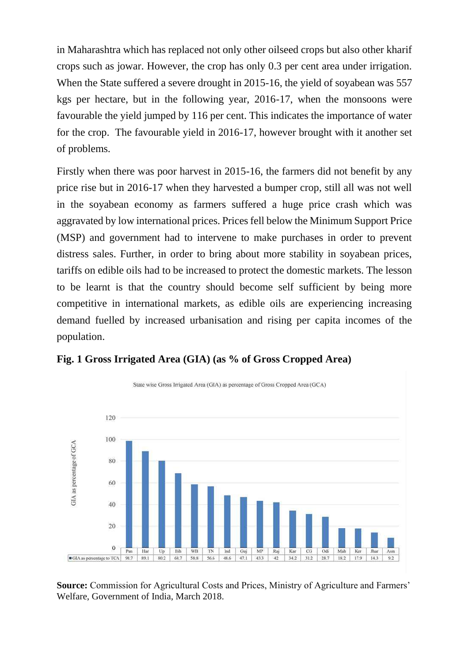in Maharashtra which has replaced not only other oilseed crops but also other kharif crops such as jowar. However, the crop has only 0.3 per cent area under irrigation. When the State suffered a severe drought in 2015-16, the yield of soyabean was 557 kgs per hectare, but in the following year, 2016-17, when the monsoons were favourable the yield jumped by 116 per cent. This indicates the importance of water for the crop. The favourable yield in 2016-17, however brought with it another set of problems.

Firstly when there was poor harvest in 2015-16, the farmers did not benefit by any price rise but in 2016-17 when they harvested a bumper crop, still all was not well in the soyabean economy as farmers suffered a huge price crash which was aggravated by low international prices. Prices fell below the Minimum Support Price (MSP) and government had to intervene to make purchases in order to prevent distress sales. Further, in order to bring about more stability in soyabean prices, tariffs on edible oils had to be increased to protect the domestic markets. The lesson to be learnt is that the country should become self sufficient by being more competitive in international markets, as edible oils are experiencing increasing demand fuelled by increased urbanisation and rising per capita incomes of the population.



# **Fig. 1 Gross Irrigated Area (GIA) (as % of Gross Cropped Area)**

**Source:** Commission for Agricultural Costs and Prices, Ministry of Agriculture and Farmers' Welfare, Government of India, March 2018.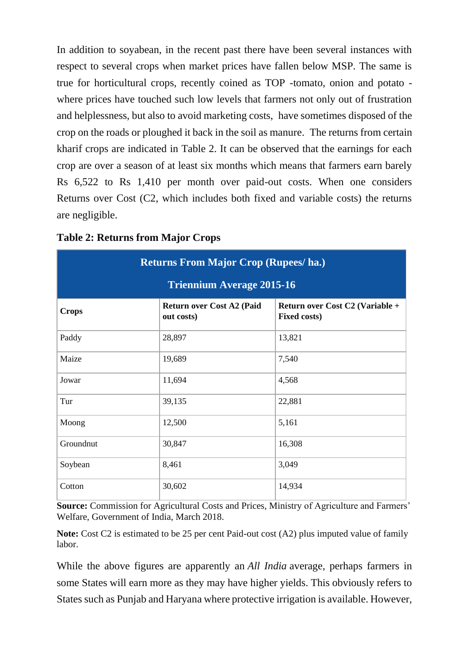In addition to soyabean, in the recent past there have been several instances with respect to several crops when market prices have fallen below MSP. The same is true for horticultural crops, recently coined as TOP -tomato, onion and potato where prices have touched such low levels that farmers not only out of frustration and helplessness, but also to avoid marketing costs, have sometimes disposed of the crop on the roads or ploughed it back in the soil as manure. The returns from certain kharif crops are indicated in Table 2. It can be observed that the earnings for each crop are over a season of at least six months which means that farmers earn barely Rs 6,522 to Rs 1,410 per month over paid-out costs. When one considers Returns over Cost (C2, which includes both fixed and variable costs) the returns are negligible.

| <b>Returns From Major Crop (Rupees/ ha.)</b> |                                         |                                                        |  |  |  |  |  |
|----------------------------------------------|-----------------------------------------|--------------------------------------------------------|--|--|--|--|--|
| <b>Triennium Average 2015-16</b>             |                                         |                                                        |  |  |  |  |  |
| <b>Crops</b>                                 | Return over Cost A2 (Paid<br>out costs) | Return over Cost C2 (Variable +<br><b>Fixed costs)</b> |  |  |  |  |  |
| Paddy                                        | 28,897                                  | 13,821                                                 |  |  |  |  |  |
| Maize                                        | 19,689                                  | 7,540                                                  |  |  |  |  |  |
| Jowar                                        | 11,694                                  | 4,568                                                  |  |  |  |  |  |
| Tur                                          | 39,135                                  | 22,881                                                 |  |  |  |  |  |
| Moong                                        | 12,500                                  | 5,161                                                  |  |  |  |  |  |
| Groundnut                                    | 30,847                                  | 16,308                                                 |  |  |  |  |  |
| Soybean                                      | 8,461                                   | 3,049                                                  |  |  |  |  |  |
| Cotton                                       | 30,602                                  | 14,934                                                 |  |  |  |  |  |

## **Table 2: Returns from Major Crops**

**Source:** Commission for Agricultural Costs and Prices, Ministry of Agriculture and Farmers' Welfare, Government of India, March 2018.

**Note:** Cost C2 is estimated to be 25 per cent Paid-out cost (A2) plus imputed value of family labor.

While the above figures are apparently an *All India* average, perhaps farmers in some States will earn more as they may have higher yields. This obviously refers to States such as Punjab and Haryana where protective irrigation is available. However,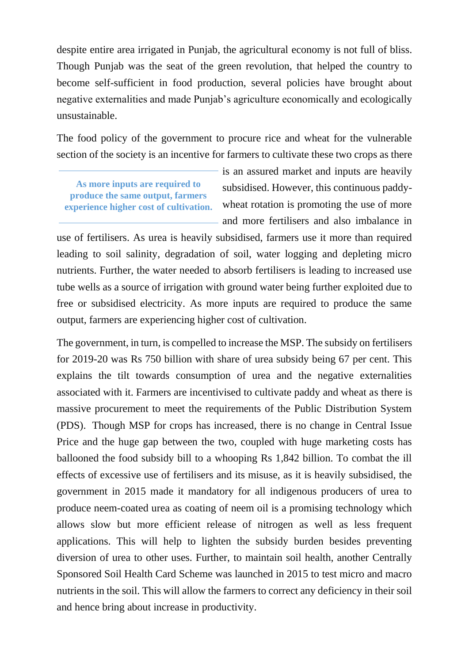despite entire area irrigated in Punjab, the agricultural economy is not full of bliss. Though Punjab was the seat of the green revolution, that helped the country to become self-sufficient in food production, several policies have brought about negative externalities and made Punjab's agriculture economically and ecologically unsustainable.

The food policy of the government to procure rice and wheat for the vulnerable section of the society is an incentive for farmers to cultivate these two crops as there

**As more inputs are required to produce the same output, farmers experience higher cost of cultivation.**

is an assured market and inputs are heavily subsidised. However, this continuous paddywheat rotation is promoting the use of more and more fertilisers and also imbalance in

use of fertilisers. As urea is heavily subsidised, farmers use it more than required leading to soil salinity, degradation of soil, water logging and depleting micro nutrients. Further, the water needed to absorb fertilisers is leading to increased use tube wells as a source of irrigation with ground water being further exploited due to free or subsidised electricity. As more inputs are required to produce the same output, farmers are experiencing higher cost of cultivation.

The government, in turn, is compelled to increase the MSP. The subsidy on fertilisers for 2019-20 was Rs 750 billion with share of urea subsidy being 67 per cent. This explains the tilt towards consumption of urea and the negative externalities associated with it. Farmers are incentivised to cultivate paddy and wheat as there is massive procurement to meet the requirements of the Public Distribution System (PDS). Though MSP for crops has increased, there is no change in Central Issue Price and the huge gap between the two, coupled with huge marketing costs has ballooned the food subsidy bill to a whooping Rs 1,842 billion. To combat the ill effects of excessive use of fertilisers and its misuse, as it is heavily subsidised, the government in 2015 made it mandatory for all indigenous producers of urea to produce neem-coated urea as coating of neem oil is a promising technology which allows slow but more efficient release of nitrogen as well as less frequent applications. This will help to lighten the subsidy burden besides preventing diversion of urea to other uses. Further, to maintain soil health, another Centrally Sponsored Soil Health Card Scheme was launched in 2015 to test micro and macro nutrients in the soil. This will allow the farmers to correct any deficiency in their soil and hence bring about increase in productivity.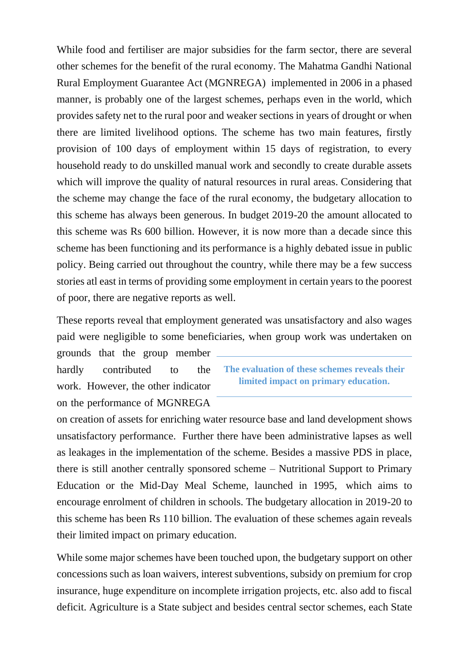While food and fertiliser are major subsidies for the farm sector, there are several other schemes for the benefit of the rural economy. The Mahatma Gandhi National Rural Employment Guarantee Act (MGNREGA) implemented in 2006 in a phased manner, is probably one of the largest schemes, perhaps even in the world, which provides safety net to the rural poor and weaker sections in years of drought or when there are limited livelihood options. The scheme has two main features, firstly provision of 100 days of employment within 15 days of registration, to every household ready to do unskilled manual work and secondly to create durable assets which will improve the quality of natural resources in rural areas. Considering that the scheme may change the face of the rural economy, the budgetary allocation to this scheme has always been generous. In budget 2019-20 the amount allocated to this scheme was Rs 600 billion. However, it is now more than a decade since this scheme has been functioning and its performance is a highly debated issue in public policy. Being carried out throughout the country, while there may be a few success stories atl east in terms of providing some employment in certain years to the poorest of poor, there are negative reports as well.

These reports reveal that employment generated was unsatisfactory and also wages paid were negligible to some beneficiaries, when group work was undertaken on

grounds that the group member hardly contributed to the work. However, the other indicator on the performance of MGNREGA

**The evaluation of these schemes reveals their limited impact on primary education.**

on creation of assets for enriching water resource base and land development shows unsatisfactory performance. Further there have been administrative lapses as well as leakages in the implementation of the scheme. Besides a massive PDS in place, there is still another centrally sponsored scheme – Nutritional Support to Primary Education or the Mid-Day Meal Scheme, launched in 1995, which aims to encourage enrolment of children in schools. The budgetary allocation in 2019-20 to this scheme has been Rs 110 billion. The evaluation of these schemes again reveals their limited impact on primary education.

While some major schemes have been touched upon, the budgetary support on other concessions such as loan waivers, interest subventions, subsidy on premium for crop insurance, huge expenditure on incomplete irrigation projects, etc. also add to fiscal deficit. Agriculture is a State subject and besides central sector schemes, each State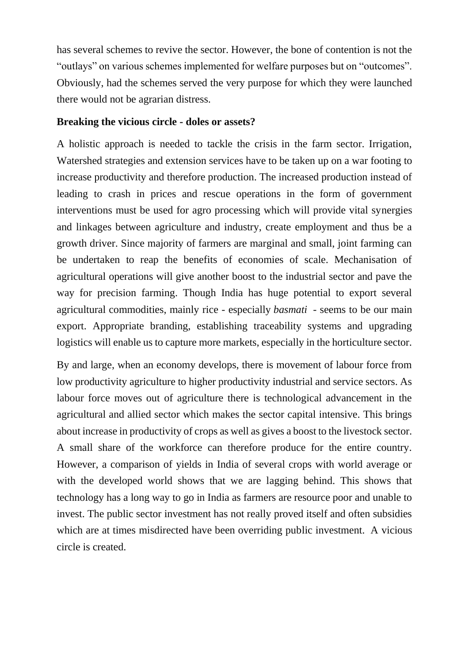has several schemes to revive the sector. However, the bone of contention is not the "outlays" on various schemes implemented for welfare purposes but on "outcomes". Obviously, had the schemes served the very purpose for which they were launched there would not be agrarian distress.

### **Breaking the vicious circle - doles or assets?**

A holistic approach is needed to tackle the crisis in the farm sector. Irrigation, Watershed strategies and extension services have to be taken up on a war footing to increase productivity and therefore production. The increased production instead of leading to crash in prices and rescue operations in the form of government interventions must be used for agro processing which will provide vital synergies and linkages between agriculture and industry, create employment and thus be a growth driver. Since majority of farmers are marginal and small, joint farming can be undertaken to reap the benefits of economies of scale. Mechanisation of agricultural operations will give another boost to the industrial sector and pave the way for precision farming. Though India has huge potential to export several agricultural commodities, mainly rice - especially *basmati* - seems to be our main export. Appropriate branding, establishing traceability systems and upgrading logistics will enable us to capture more markets, especially in the horticulture sector.

By and large, when an economy develops, there is movement of labour force from low productivity agriculture to higher productivity industrial and service sectors. As labour force moves out of agriculture there is technological advancement in the agricultural and allied sector which makes the sector capital intensive. This brings about increase in productivity of crops as well as gives a boost to the livestock sector. A small share of the workforce can therefore produce for the entire country. However, a comparison of yields in India of several crops with world average or with the developed world shows that we are lagging behind. This shows that technology has a long way to go in India as farmers are resource poor and unable to invest. The public sector investment has not really proved itself and often subsidies which are at times misdirected have been overriding public investment. A vicious circle is created.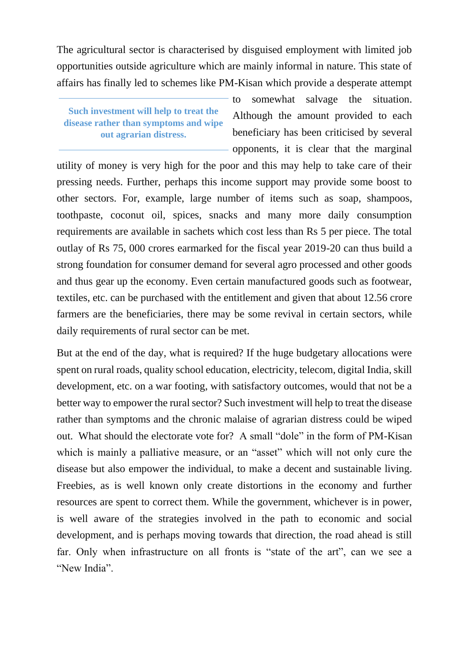The agricultural sector is characterised by disguised employment with limited job opportunities outside agriculture which are mainly informal in nature. This state of affairs has finally led to schemes like PM-Kisan which provide a desperate attempt

**Such investment will help to treat the disease rather than symptoms and wipe out agrarian distress.**

to somewhat salvage the situation. Although the amount provided to each beneficiary has been criticised by several opponents, it is clear that the marginal

utility of money is very high for the poor and this may help to take care of their pressing needs. Further, perhaps this income support may provide some boost to other sectors. For, example, large number of items such as soap, shampoos, toothpaste, coconut oil, spices, snacks and many more daily consumption requirements are available in sachets which cost less than Rs 5 per piece. The total outlay of Rs 75, 000 crores earmarked for the fiscal year 2019-20 can thus build a strong foundation for consumer demand for several agro processed and other goods and thus gear up the economy. Even certain manufactured goods such as footwear, textiles, etc. can be purchased with the entitlement and given that about 12.56 crore farmers are the beneficiaries, there may be some revival in certain sectors, while daily requirements of rural sector can be met.

But at the end of the day, what is required? If the huge budgetary allocations were spent on rural roads, quality school education, electricity, telecom, digital India, skill development, etc. on a war footing, with satisfactory outcomes, would that not be a better way to empower the rural sector? Such investment will help to treat the disease rather than symptoms and the chronic malaise of agrarian distress could be wiped out. What should the electorate vote for? A small "dole" in the form of PM-Kisan which is mainly a palliative measure, or an "asset" which will not only cure the disease but also empower the individual, to make a decent and sustainable living. Freebies, as is well known only create distortions in the economy and further resources are spent to correct them. While the government, whichever is in power, is well aware of the strategies involved in the path to economic and social development, and is perhaps moving towards that direction, the road ahead is still far. Only when infrastructure on all fronts is "state of the art", can we see a "New India".